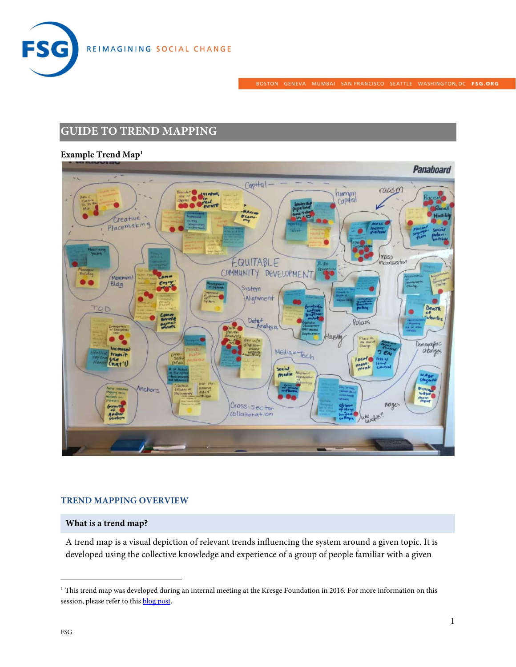

# **GUIDE TO TREND MAPPING**

# **Example Trend Map1**



## **TREND MAPPING OVERVIEW**

#### **What is a trend map?**

A trend map is a visual depiction of relevant trends influencing the system around a given topic. It is developed using the collective knowledge and experience of a group of people familiar with a given

 $1$  This trend map was developed during an internal meeting at the Kresge Foundation in 2016. For more information on this session, please refer to this **blog post**.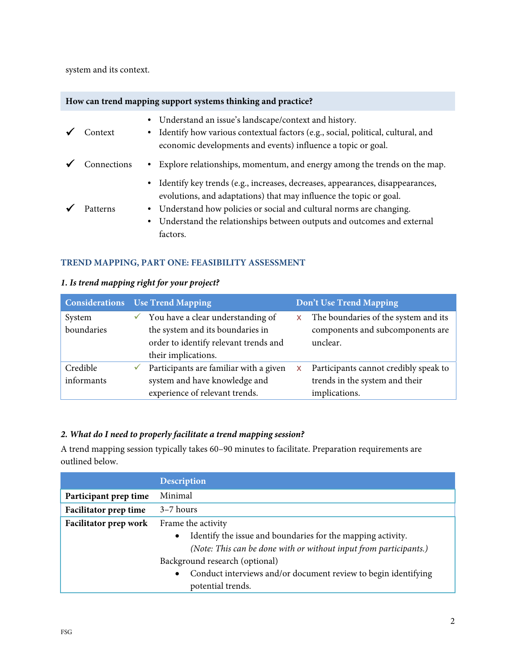system and its context.

| How can trend mapping support systems thinking and practice? |  |  |  |  |
|--------------------------------------------------------------|--|--|--|--|
|                                                              |  |  |  |  |

| Context     | • Understand an issue's landscape/context and history.<br>• Identify how various contextual factors (e.g., social, political, cultural, and<br>economic developments and events) influence a topic or goal.                                                                                                           |
|-------------|-----------------------------------------------------------------------------------------------------------------------------------------------------------------------------------------------------------------------------------------------------------------------------------------------------------------------|
| Connections | • Explore relationships, momentum, and energy among the trends on the map.                                                                                                                                                                                                                                            |
| Patterns    | • Identify key trends (e.g., increases, decreases, appearances, disappearances,<br>evolutions, and adaptations) that may influence the topic or goal.<br>• Understand how policies or social and cultural norms are changing.<br>• Understand the relationships between outputs and outcomes and external<br>factors. |

## **TREND MAPPING, PART ONE: FEASIBILITY ASSESSMENT**

## **1. Is trend mapping right for your project?**

|                      |              | <b>Considerations</b> Use Trend Mapping                                                                                               |    | Don't Use Trend Mapping                                                              |
|----------------------|--------------|---------------------------------------------------------------------------------------------------------------------------------------|----|--------------------------------------------------------------------------------------|
| System<br>boundaries | $\checkmark$ | You have a clear understanding of<br>the system and its boundaries in<br>order to identify relevant trends and<br>their implications. | X. | The boundaries of the system and its<br>components and subcomponents are<br>unclear. |
| Credible             | ✓            | Participants are familiar with a given                                                                                                |    | Participants cannot credibly speak to                                                |
| informants           |              | system and have knowledge and<br>experience of relevant trends.                                                                       |    | trends in the system and their<br>implications.                                      |

## **2. What do I need to properly facilitate a trend mapping session?**

A trend mapping session typically takes 60–90 minutes to facilitate. Preparation requirements are outlined below.

|                              | <b>Description</b>                                                                                                                                                                                                                                                                           |  |  |
|------------------------------|----------------------------------------------------------------------------------------------------------------------------------------------------------------------------------------------------------------------------------------------------------------------------------------------|--|--|
| Participant prep time        | Minimal                                                                                                                                                                                                                                                                                      |  |  |
| <b>Facilitator prep time</b> | $3-7$ hours                                                                                                                                                                                                                                                                                  |  |  |
| Facilitator prep work        | Frame the activity<br>Identify the issue and boundaries for the mapping activity.<br>$\bullet$<br>(Note: This can be done with or without input from participants.)<br>Background research (optional)<br>Conduct interviews and/or document review to begin identifying<br>potential trends. |  |  |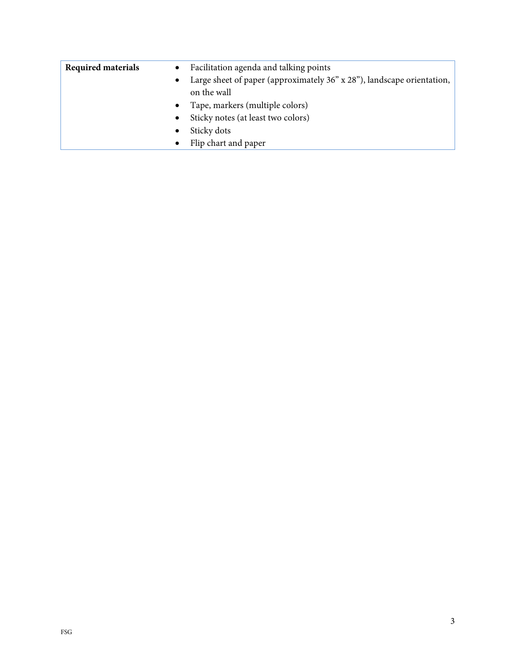| <b>Required materials</b> | $\bullet$ | Facilitation agenda and talking points                                                |
|---------------------------|-----------|---------------------------------------------------------------------------------------|
|                           | $\bullet$ | Large sheet of paper (approximately 36" x 28"), landscape orientation,<br>on the wall |
|                           | $\bullet$ | Tape, markers (multiple colors)                                                       |
|                           | $\bullet$ | Sticky notes (at least two colors)                                                    |
|                           | $\bullet$ | Sticky dots                                                                           |
|                           |           | Flip chart and paper                                                                  |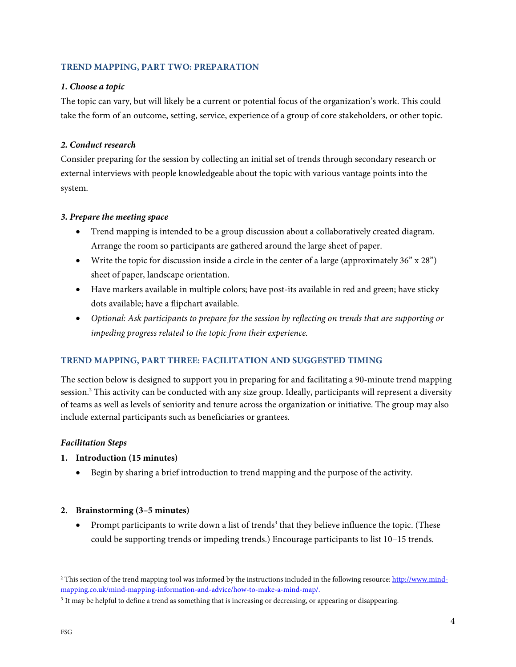#### **TREND MAPPING, PART TWO: PREPARATION**

#### **1. Choose a topic**

The topic can vary, but will likely be a current or potential focus of the organization's work. This could take the form of an outcome, setting, service, experience of a group of core stakeholders, or other topic.

## **2. Conduct research**

Consider preparing for the session by collecting an initial set of trends through secondary research or external interviews with people knowledgeable about the topic with various vantage points into the system.

## **3. Prepare the meeting space**

- Trend mapping is intended to be a group discussion about a collaboratively created diagram. Arrange the room so participants are gathered around the large sheet of paper.
- Write the topic for discussion inside a circle in the center of a large (approximately 36" x 28") sheet of paper, landscape orientation.
- Have markers available in multiple colors; have post-its available in red and green; have sticky dots available; have a flipchart available.
- Optional: Ask participants to prepare for the session by reflecting on trends that are supporting or impeding progress related to the topic from their experience.

# **TREND MAPPING, PART THREE: FACILITATION AND SUGGESTED TIMING**

The section below is designed to support you in preparing for and facilitating a 90-minute trend mapping session.<sup>2</sup> This activity can be conducted with any size group. Ideally, participants will represent a diversity of teams as well as levels of seniority and tenure across the organization or initiative. The group may also include external participants such as beneficiaries or grantees.

## **Facilitation Steps**

- **1. Introduction (15 minutes)** 
	- Begin by sharing a brief introduction to trend mapping and the purpose of the activity.
- **2. Brainstorming (3–5 minutes)** 
	- Prompt participants to write down a list of trends<sup>3</sup> that they believe influence the topic. (These could be supporting trends or impeding trends.) Encourage participants to list 10–15 trends.

 $\overline{a}$ 

<sup>&</sup>lt;sup>2</sup> This section of the trend mapping tool was informed by the instructions included in the following resource: http://www.mindmapping.co.uk/mind-mapping-information-and-advice/how-to-make-a-mind-map/.

 $3$  It may be helpful to define a trend as something that is increasing or decreasing, or appearing or disappearing.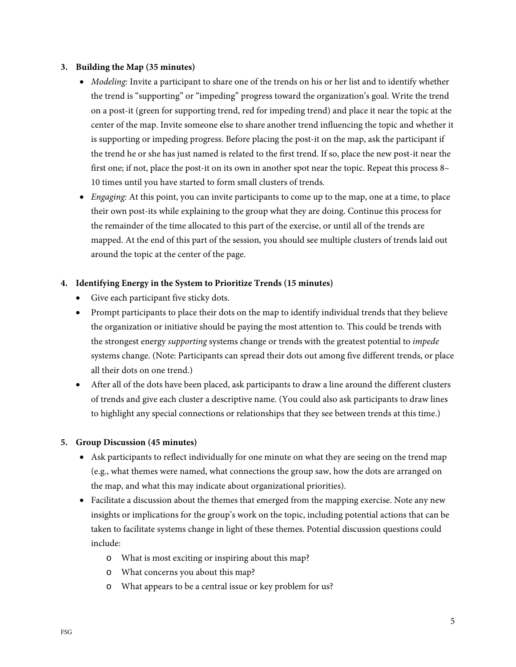#### **3. Building the Map (35 minutes)**

- Modeling: Invite a participant to share one of the trends on his or her list and to identify whether the trend is "supporting" or "impeding" progress toward the organization's goal. Write the trend on a post-it (green for supporting trend, red for impeding trend) and place it near the topic at the center of the map. Invite someone else to share another trend influencing the topic and whether it is supporting or impeding progress. Before placing the post-it on the map, ask the participant if the trend he or she has just named is related to the first trend. If so, place the new post-it near the first one; if not, place the post-it on its own in another spot near the topic. Repeat this process 8– 10 times until you have started to form small clusters of trends.
- Engaging: At this point, you can invite participants to come up to the map, one at a time, to place their own post-its while explaining to the group what they are doing. Continue this process for the remainder of the time allocated to this part of the exercise, or until all of the trends are mapped. At the end of this part of the session, you should see multiple clusters of trends laid out around the topic at the center of the page.

## **4. Identifying Energy in the System to Prioritize Trends (15 minutes)**

- Give each participant five sticky dots.
- Prompt participants to place their dots on the map to identify individual trends that they believe the organization or initiative should be paying the most attention to. This could be trends with the strongest energy *supporting* systems change or trends with the greatest potential to *impede* systems change. (Note: Participants can spread their dots out among five different trends, or place all their dots on one trend.)
- After all of the dots have been placed, ask participants to draw a line around the different clusters of trends and give each cluster a descriptive name. (You could also ask participants to draw lines to highlight any special connections or relationships that they see between trends at this time.)

#### **5. Group Discussion (45 minutes)**

- Ask participants to reflect individually for one minute on what they are seeing on the trend map (e.g., what themes were named, what connections the group saw, how the dots are arranged on the map, and what this may indicate about organizational priorities).
- Facilitate a discussion about the themes that emerged from the mapping exercise. Note any new insights or implications for the group's work on the topic, including potential actions that can be taken to facilitate systems change in light of these themes. Potential discussion questions could include:
	- o What is most exciting or inspiring about this map?
	- o What concerns you about this map?
	- o What appears to be a central issue or key problem for us?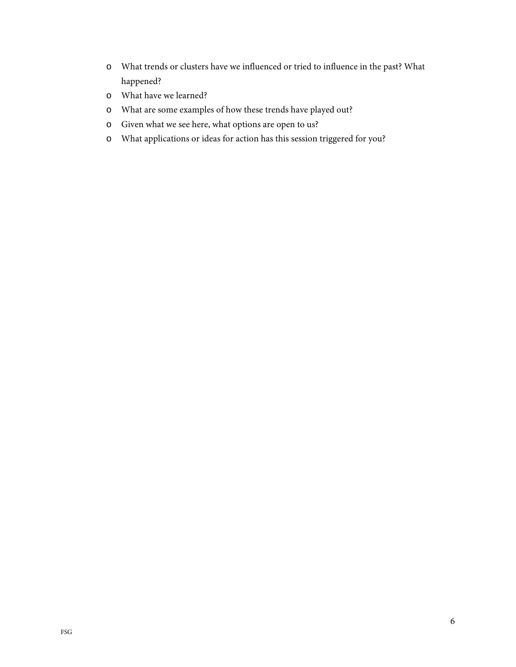- o What trends or clusters have we influenced or tried to influence in the past? What happened?
- o What have we learned?
- o What are some examples of how these trends have played out?
- o Given what we see here, what options are open to us?
- o What applications or ideas for action has this session triggered for you?